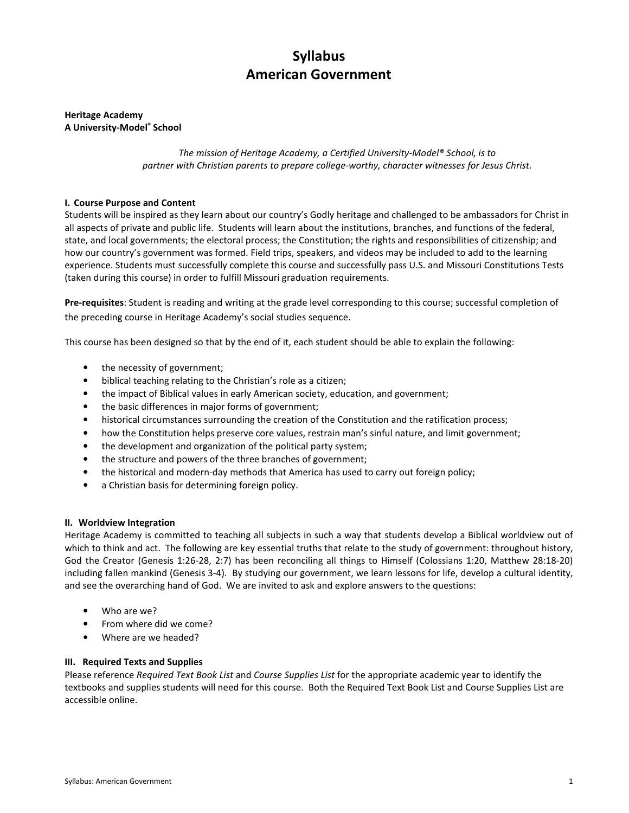# Syllabus American Government

## Heritage Academy A University-Model® School

The mission of Heritage Academy, a Certified University-Model® School, is to partner with Christian parents to prepare college-worthy, character witnesses for Jesus Christ.

# I. Course Purpose and Content

Students will be inspired as they learn about our country's Godly heritage and challenged to be ambassadors for Christ in all aspects of private and public life. Students will learn about the institutions, branches, and functions of the federal, state, and local governments; the electoral process; the Constitution; the rights and responsibilities of citizenship; and how our country's government was formed. Field trips, speakers, and videos may be included to add to the learning experience. Students must successfully complete this course and successfully pass U.S. and Missouri Constitutions Tests (taken during this course) in order to fulfill Missouri graduation requirements.

Pre-requisites: Student is reading and writing at the grade level corresponding to this course; successful completion of the preceding course in Heritage Academy's social studies sequence.

This course has been designed so that by the end of it, each student should be able to explain the following:

- the necessity of government;
- biblical teaching relating to the Christian's role as a citizen;
- the impact of Biblical values in early American society, education, and government;
- the basic differences in major forms of government;
- historical circumstances surrounding the creation of the Constitution and the ratification process;
- how the Constitution helps preserve core values, restrain man's sinful nature, and limit government;
- the development and organization of the political party system;
- the structure and powers of the three branches of government;
- the historical and modern-day methods that America has used to carry out foreign policy;
- a Christian basis for determining foreign policy.

# II. Worldview Integration

Heritage Academy is committed to teaching all subjects in such a way that students develop a Biblical worldview out of which to think and act. The following are key essential truths that relate to the study of government: throughout history, God the Creator (Genesis 1:26-28, 2:7) has been reconciling all things to Himself (Colossians 1:20, Matthew 28:18-20) including fallen mankind (Genesis 3-4). By studying our government, we learn lessons for life, develop a cultural identity, and see the overarching hand of God. We are invited to ask and explore answers to the questions:

- Who are we?
- From where did we come?
- Where are we headed?

# III. Required Texts and Supplies

Please reference Required Text Book List and Course Supplies List for the appropriate academic year to identify the textbooks and supplies students will need for this course. Both the Required Text Book List and Course Supplies List are accessible online.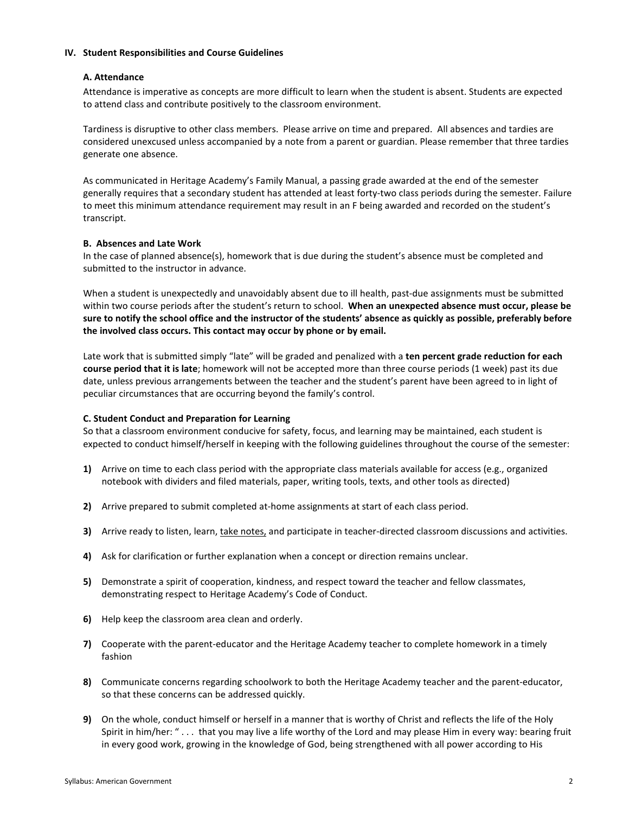### IV. Student Responsibilities and Course Guidelines

## A. Attendance

Attendance is imperative as concepts are more difficult to learn when the student is absent. Students are expected to attend class and contribute positively to the classroom environment.

Tardiness is disruptive to other class members. Please arrive on time and prepared. All absences and tardies are considered unexcused unless accompanied by a note from a parent or guardian. Please remember that three tardies generate one absence.

As communicated in Heritage Academy's Family Manual, a passing grade awarded at the end of the semester generally requires that a secondary student has attended at least forty-two class periods during the semester. Failure to meet this minimum attendance requirement may result in an F being awarded and recorded on the student's transcript.

## B. Absences and Late Work

In the case of planned absence(s), homework that is due during the student's absence must be completed and submitted to the instructor in advance.

When a student is unexpectedly and unavoidably absent due to ill health, past-due assignments must be submitted within two course periods after the student's return to school. When an unexpected absence must occur, please be sure to notify the school office and the instructor of the students' absence as quickly as possible, preferably before the involved class occurs. This contact may occur by phone or by email.

Late work that is submitted simply "late" will be graded and penalized with a ten percent grade reduction for each course period that it is late; homework will not be accepted more than three course periods (1 week) past its due date, unless previous arrangements between the teacher and the student's parent have been agreed to in light of peculiar circumstances that are occurring beyond the family's control.

# C. Student Conduct and Preparation for Learning

So that a classroom environment conducive for safety, focus, and learning may be maintained, each student is expected to conduct himself/herself in keeping with the following guidelines throughout the course of the semester:

- 1) Arrive on time to each class period with the appropriate class materials available for access (e.g., organized notebook with dividers and filed materials, paper, writing tools, texts, and other tools as directed)
- 2) Arrive prepared to submit completed at-home assignments at start of each class period.
- 3) Arrive ready to listen, learn, take notes, and participate in teacher-directed classroom discussions and activities.
- 4) Ask for clarification or further explanation when a concept or direction remains unclear.
- 5) Demonstrate a spirit of cooperation, kindness, and respect toward the teacher and fellow classmates, demonstrating respect to Heritage Academy's Code of Conduct.
- 6) Help keep the classroom area clean and orderly.
- 7) Cooperate with the parent-educator and the Heritage Academy teacher to complete homework in a timely fashion
- 8) Communicate concerns regarding schoolwork to both the Heritage Academy teacher and the parent-educator, so that these concerns can be addressed quickly.
- 9) On the whole, conduct himself or herself in a manner that is worthy of Christ and reflects the life of the Holy Spirit in him/her: " . . . that you may live a life worthy of the Lord and may please Him in every way: bearing fruit in every good work, growing in the knowledge of God, being strengthened with all power according to His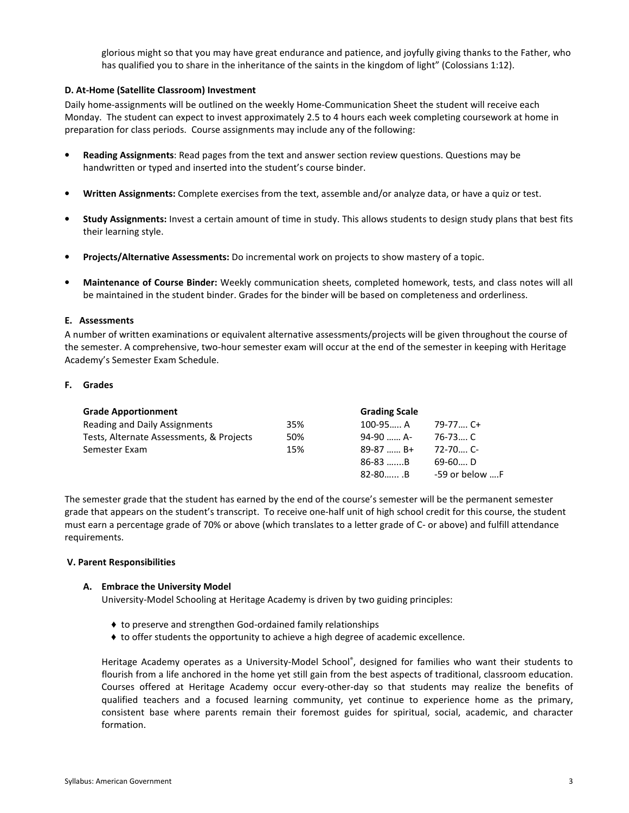glorious might so that you may have great endurance and patience, and joyfully giving thanks to the Father, who has qualified you to share in the inheritance of the saints in the kingdom of light" (Colossians 1:12).

## D. At-Home (Satellite Classroom) Investment

Daily home-assignments will be outlined on the weekly Home-Communication Sheet the student will receive each Monday. The student can expect to invest approximately 2.5 to 4 hours each week completing coursework at home in preparation for class periods. Course assignments may include any of the following:

- Reading Assignments: Read pages from the text and answer section review questions. Questions may be handwritten or typed and inserted into the student's course binder.
- Written Assignments: Complete exercises from the text, assemble and/or analyze data, or have a quiz or test.
- Study Assignments: Invest a certain amount of time in study. This allows students to design study plans that best fits their learning style.
- Projects/Alternative Assessments: Do incremental work on projects to show mastery of a topic.
- Maintenance of Course Binder: Weekly communication sheets, completed homework, tests, and class notes will all be maintained in the student binder. Grades for the binder will be based on completeness and orderliness.

### E. Assessments

A number of written examinations or equivalent alternative assessments/projects will be given throughout the course of the semester. A comprehensive, two-hour semester exam will occur at the end of the semester in keeping with Heritage Academy's Semester Exam Schedule.

### F. Grades

| <b>Grade Apportionment</b>               |     | <b>Grading Scale</b> |                |
|------------------------------------------|-----|----------------------|----------------|
| Reading and Daily Assignments            | 35% | $100 - 95$ A         | 79-77 C+       |
| Tests, Alternate Assessments, & Projects | 50% | 94-90  A-            | 76-73 C        |
| Semester Exam                            | 15% | $89-87$ B+           | $72 - 70$ C-   |
|                                          |     | $86-83$ B            | $69-60$ D      |
|                                          |     | $82 - 80$ B          | -59 or below F |

The semester grade that the student has earned by the end of the course's semester will be the permanent semester grade that appears on the student's transcript. To receive one-half unit of high school credit for this course, the student must earn a percentage grade of 70% or above (which translates to a letter grade of C- or above) and fulfill attendance requirements.

### V. Parent Responsibilities

### A. Embrace the University Model

University-Model Schooling at Heritage Academy is driven by two guiding principles:

- ♦ to preserve and strengthen God-ordained family relationships
- ♦ to offer students the opportunity to achieve a high degree of academic excellence.

Heritage Academy operates as a University-Model School®, designed for families who want their students to flourish from a life anchored in the home yet still gain from the best aspects of traditional, classroom education. Courses offered at Heritage Academy occur every-other-day so that students may realize the benefits of qualified teachers and a focused learning community, yet continue to experience home as the primary, consistent base where parents remain their foremost guides for spiritual, social, academic, and character formation.